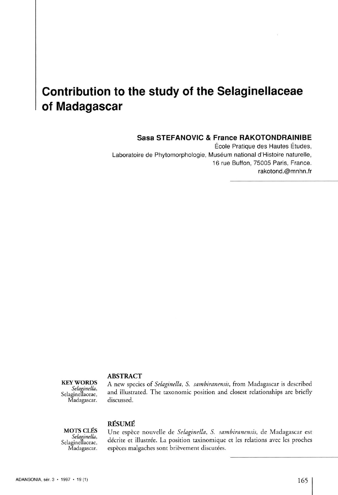# **Contribution to the study of the Selaginellaceae of Madagascar**

## **Sasa STEFANOVIC & France RAKOTONDRAINIBE**

École Pratique des Hautes Études, Laboratoire de Phytomorphologie, Muséum national d'Histoire naturelle, 16 rue Buffon, 75005 Paris, France. [rakotond.@mnhn.fr](mailto:rakotond.@mnhn.fr) 

### **ABSTRAC T**

Selagineflaceae, Madagascar. discussed.

**BYWORDS** A new species of *Selaginella*, *S. sambiranensis*, from Madagascar is described *Selaginella*, and illustrated The temperature negligine and electrical conductions are height and illustrated. The taxonomic position and closest relationships are briefly

**RÉSUM É** 

**MOTS CLÉS** Une espèce nouvelle de *Selaginella*, *S. sambiranensis*, de Madagascar est *Selaginellaceae*, décrite et illustrée. La position taxinomique et les relations avec les proches Madagascar. espèces malgaches sont *Selaginella,*<br>Selaginellaceae, décrite et illustrée. La position taxinomique et les relations avec les proches espèces malgaches sont brièvement discutées.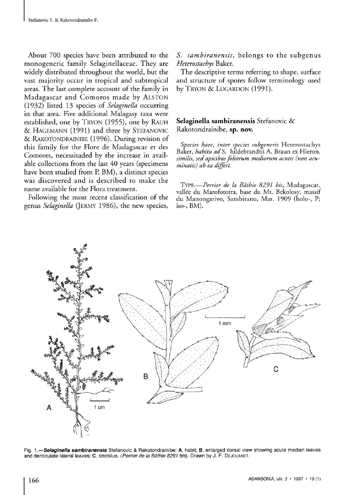About 700 species have been attributed to the monogeneric family Selaginellaceae. They are widely distributed throughout the world, but the vast majority occur in tropical and subtropical areas. The last complete account of the family in Madagascar and Comoros made by ALSTON (1932) listed 13 species of *Selaginella* occurring in that area. Five additional Malagasy taxa were established, one by TRYON (1955), one by RAUH & HAGEMANN (1991) and three by STEFANOVIC & RAKOTONDRAINIBE (1996). During revision of this family for the Flore de Madagascar et des Comores, necessitaded by the increase in available collections from the last 40 years (specimens have been studied from P, BM), a distinct species was discovered and is described to make the name available for the Flora treatment.

Following the most recent classification of the genus Selaginella (JERMY 1986), the new species,

S. sambiranensis, belongs to the subgenus *Heterostachys* Baker.

The descriptive terms referring to shape, surface and structure of spores follow terminology used by TRYON & LUGARDON (1991).

## **Selaginella sambiranensis** Stefanovic & Rakotondrainibe, **sp . nov.**

*Species haec, inter species subgeneris* Heterostachys Baker, *habitu adS.* hildebrandtii A. Braun ex Hieron. *similis, sed apicibus foliorum mediorum acutis (non acuminatis) ab ea differt.* 

**TYPE.—***Perrier de la Bâthie 8291 bis,* Madagascar, vallée du Marofototra, base du Mt. Bekolosy, massif du Manongarivo, Sambirano, Mar. 1909 (holo-, P; iso-, BM).



Fig. **1.—***Selaginella sambiranensis* Stefanovic & Rakotondrainibe: **A,** habit; **B,** enlarged dorsal view showing acute median leaves and denticulate lateral leaves; **C,** strobilus. *(Perrier de la Bàthie 8291 bis).* Drawn by J.-F. **D**EJOUANET.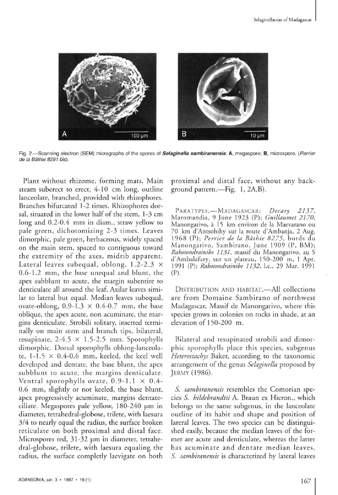

Fig. 2.—Scanning electron (SEM) micrographs of the spores of Selaginella sambiranensis: A, megaspore; B, microspore. (Perrier de la Bâthie 8291 bis).

Plant without rhizome, forming mats. Main steam suberect to erect, 4-10 cm long, outline lanceolate, branched, provided with rhizophores. Branches bifurcated 1-2 times. Rhizophores dorsal, situated in the lower half of the stem, 1-3 cm long and 0.2-0.4 mm in diam., straw yellow to pale green, dichotomizing 2-3 times. Leaves dimorphic, pale green, herbaceous, widely spaced on the main stem, spaced to contiguous toward the extremity of the axes, midrib apparent. Lateral leaves subequal, oblong,  $1.2-2.3 \times$ 0.6-1.2 mm, the base unequal and blunt, the apex subblunt to acute, the margin subentire to denticulate all around the leaf. Axilar leaves similar to lateral but equal. Median leaves subequal, ovate-oblong,  $0.9-1.3 \times 0.4-0.7$  mm, the base oblique, the apex acute, non acuminate, the margins denticulate. Strobili solitary, inserted terminally on main stem and branch tips, bilateral, resupinate,  $2-4.5 \times 1.5-2.5$  mm. Sporophylls dimorphic. Dorsal sporophylls oblong-lanceolate,  $1-1.5 \times 0.4-0.6$  mm, keeled, the keel well developed and dentate, the base blunt, the apex subblunt to acute, the margins denticulate. Ventral sporophylls ovate,  $0.9-1.1 \times 0.4$ -0.6 mm, slightly ot not keeled, the base blunt, apex progressively acuminate, margins dentateciliate. Megaspores pale yellow, 180-240 um in diameter, tetrahedral-globose, trilete, with laesura 3/4 to nearly equal the radius, the surface broken reticulate on both proximal and distal face. Microspores red, 31-32 µm in diameter, tetrahedral-globose, trilete, with laesura equaling the radius, the surface completly laevigate on both

proximal and distal face, without any background pattern.—Fig. 1, 2A,B).

<sup>P</sup> **ARATYPES.** — M **ADAGASCAR :** *Decary 2137,*  Maromandia, 9 June 1923 (P); Guillaumet 2170, Manongarivo, a 15 km environ de la Maevarano ou 70 km d'Antsohihy sur la route d'Ambanja, 2 Aug. 1968 (P) ; *Perrier de la Bathie 8275,* bords du Manongarivo, Sambirano, June 1909 (P, BM); *Rakotondrainibe 1131,* massif du Manongarivo, au S d'Ambalafary, sur un plateau, 150-200 m, 1 Apr. 1991 (P); *Rakotondrainibe 1132,* I.e., 29 Mar. 1991 (P).

DISTRIBUTION AND HABITAT.—All collections are from Domaine Sambirano of northwest Madagascar, Massif de Manongarivo, where this species grows in colonies on rocks in shade, at an elevation of 150-200 m.

Bilateral and resupinated strobili and dimorphic sporophylls place this species, subgenus *Heterostachys* Baker, according to the taxonomic arrangement of the genus *Selaginella* proposed by JERMY (1986).

*S. sambiranensis* resembles the Comorian species *S. hildebrandtii* A. Braun ex Hieron., which belongs to the same subgenus, in the lanceolate outline of its habit and shape and position of lareral leaves. The two species can be distinguished easily, because the median leaves of the fotmer are acute and denticulate, whereas the latter has acuminate and dentate median leaves. *S. sambiranensis* is characterized by lateral leaves